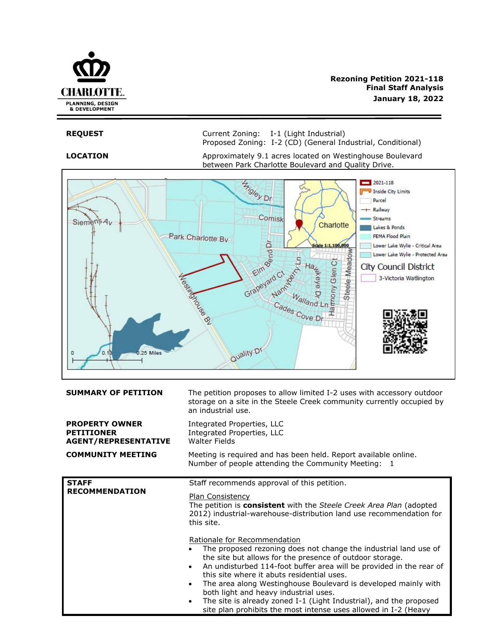

**REQUEST** Current Zoning: I-1 (Light Industrial) Proposed Zoning: I-2 (CD) (General Industrial, Conditional)

**LOCATION** Approximately 9.1 acres located on Westinghouse Boulevard between Park Charlotte Boulevard and Quality Drive.



| <b>SUMMARY OF PETITION</b>                                                | The petition proposes to allow limited I-2 uses with accessory outdoor<br>storage on a site in the Steele Creek community currently occupied by<br>an industrial use.                                                                                                                                                                                                                                                                                                                                                                                                                     |  |
|---------------------------------------------------------------------------|-------------------------------------------------------------------------------------------------------------------------------------------------------------------------------------------------------------------------------------------------------------------------------------------------------------------------------------------------------------------------------------------------------------------------------------------------------------------------------------------------------------------------------------------------------------------------------------------|--|
| <b>PROPERTY OWNER</b><br><b>PETITIONER</b><br><b>AGENT/REPRESENTATIVE</b> | Integrated Properties, LLC<br>Integrated Properties, LLC<br><b>Walter Fields</b>                                                                                                                                                                                                                                                                                                                                                                                                                                                                                                          |  |
| <b>COMMUNITY MEETING</b>                                                  | Meeting is required and has been held. Report available online.<br>Number of people attending the Community Meeting: 1                                                                                                                                                                                                                                                                                                                                                                                                                                                                    |  |
| <b>STAFF</b><br><b>RECOMMENDATION</b>                                     | Staff recommends approval of this petition.<br>Plan Consistency<br>The petition is <b>consistent</b> with the Steele Creek Area Plan (adopted<br>2012) industrial-warehouse-distribution land use recommendation for<br>this site.                                                                                                                                                                                                                                                                                                                                                        |  |
|                                                                           | Rationale for Recommendation<br>The proposed rezoning does not change the industrial land use of<br>$\bullet$<br>the site but allows for the presence of outdoor storage.<br>An undisturbed 114-foot buffer area will be provided in the rear of<br>$\bullet$<br>this site where it abuts residential uses.<br>The area along Westinghouse Boulevard is developed mainly with<br>$\bullet$<br>both light and heavy industrial uses.<br>The site is already zoned I-1 (Light Industrial), and the proposed<br>$\bullet$<br>site plan prohibits the most intense uses allowed in I-2 (Heavy |  |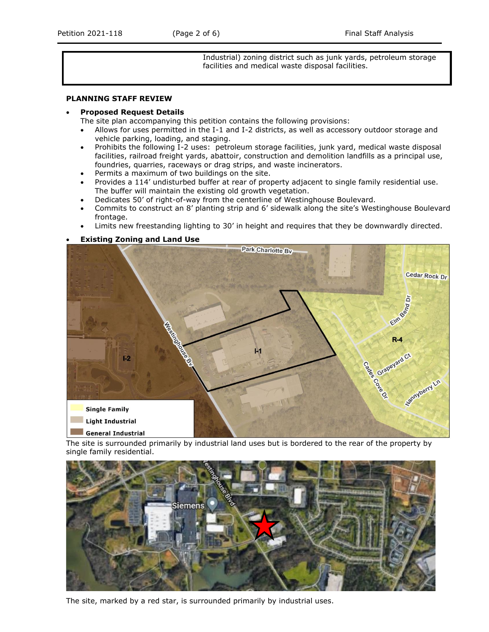Industrial) zoning district such as junk yards, petroleum storage facilities and medical waste disposal facilities.

### **PLANNING STAFF REVIEW**

#### • **Proposed Request Details**

The site plan accompanying this petition contains the following provisions:

- Allows for uses permitted in the I-1 and I-2 districts, as well as accessory outdoor storage and vehicle parking, loading, and staging.
- Prohibits the following I-2 uses: petroleum storage facilities, junk yard, medical waste disposal facilities, railroad freight yards, abattoir, construction and demolition landfills as a principal use, foundries, quarries, raceways or drag strips, and waste incinerators.
- Permits a maximum of two buildings on the site.
- Provides a 114' undisturbed buffer at rear of property adjacent to single family residential use. The buffer will maintain the existing old growth vegetation.
- Dedicates 50' of right-of-way from the centerline of Westinghouse Boulevard.
- Commits to construct an 8' planting strip and 6' sidewalk along the site's Westinghouse Boulevard frontage.
- Limits new freestanding lighting to 30' in height and requires that they be downwardly directed.

### • **Existing Zoning and Land Use**



The site is surrounded primarily by industrial land uses but is bordered to the rear of the property by single family residential.



The site, marked by a red star, is surrounded primarily by industrial uses.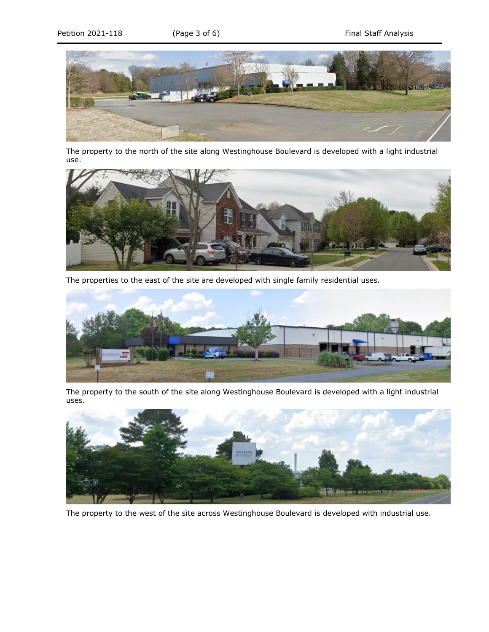

The property to the north of the site along Westinghouse Boulevard is developed with a light industrial use.



The properties to the east of the site are developed with single family residential uses.



The property to the south of the site along Westinghouse Boulevard is developed with a light industrial uses.



The property to the west of the site across Westinghouse Boulevard is developed with industrial use.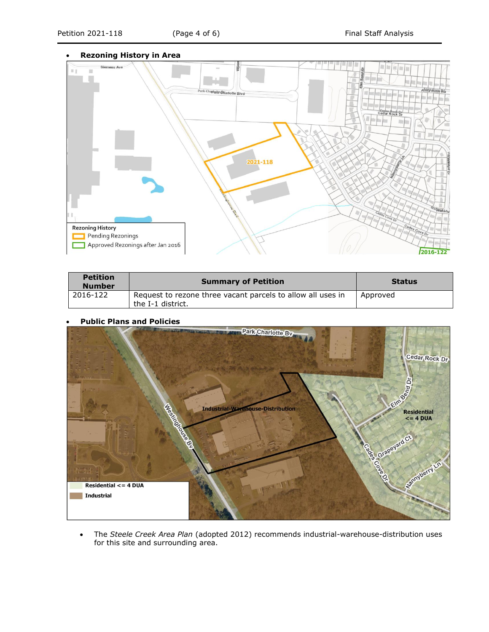

| <b>Petition</b><br><b>Number</b> | <b>Summary of Petition</b>                                                       | <b>Status</b> |
|----------------------------------|----------------------------------------------------------------------------------|---------------|
| 2016-122                         | Request to rezone three vacant parcels to allow all uses in<br>the I-1 district. | Approved      |

## • **Public Plans and Policies**



• The *Steele Creek Area Plan* (adopted 2012) recommends industrial-warehouse-distribution uses for this site and surrounding area.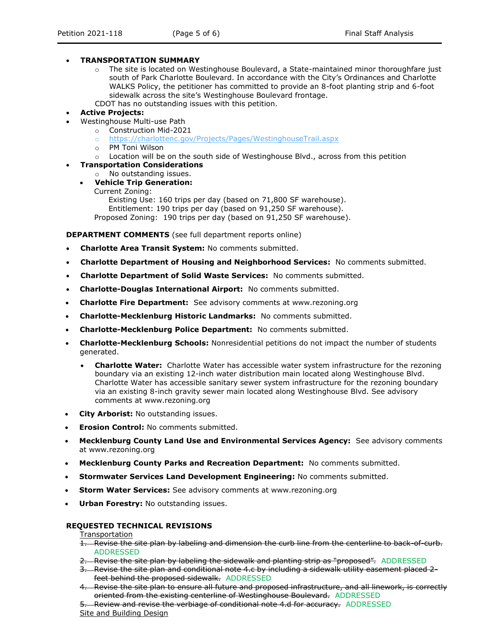### • **TRANSPORTATION SUMMARY**

- $\circ$  The site is located on Westinghouse Boulevard, a State-maintained minor thoroughfare just south of Park Charlotte Boulevard. In accordance with the City's Ordinances and Charlotte WALKS Policy, the petitioner has committed to provide an 8-foot planting strip and 6-foot sidewalk across the site's Westinghouse Boulevard frontage.
- CDOT has no outstanding issues with this petition.
- **Active Projects:**
- Westinghouse Multi-use Path
	- o Construction Mid-2021
	- o <https://charlottenc.gov/Projects/Pages/WestinghouseTrail.aspx>
	- o PM Toni Wilson
	- $\circ$  Location will be on the south side of Westinghouse Blvd., across from this petition
- **Transportation Considerations**
	- o No outstanding issues.

# • **Vehicle Trip Generation:**

Current Zoning:

Existing Use: 160 trips per day (based on 71,800 SF warehouse). Entitlement: 190 trips per day (based on 91,250 SF warehouse). Proposed Zoning: 190 trips per day (based on 91,250 SF warehouse).

**DEPARTMENT COMMENTS** (see full department reports online)

- **Charlotte Area Transit System:** No comments submitted.
- **Charlotte Department of Housing and Neighborhood Services:** No comments submitted.
- **Charlotte Department of Solid Waste Services:** No comments submitted.
- **Charlotte-Douglas International Airport:** No comments submitted.
- **Charlotte Fire Department:** See advisory comments at www.rezoning.org
- **Charlotte-Mecklenburg Historic Landmarks:** No comments submitted.
- **Charlotte-Mecklenburg Police Department:** No comments submitted.
- **Charlotte-Mecklenburg Schools:** Nonresidential petitions do not impact the number of students generated.
	- **Charlotte Water:** Charlotte Water has accessible water system infrastructure for the rezoning boundary via an existing 12-inch water distribution main located along Westinghouse Blvd. Charlotte Water has accessible sanitary sewer system infrastructure for the rezoning boundary via an existing 8-inch gravity sewer main located along Westinghouse Blvd. See advisory comments at www.rezoning.org
- **City Arborist:** No outstanding issues.
- **Erosion Control:** No comments submitted.
- **Mecklenburg County Land Use and Environmental Services Agency:** See advisory comments at www.rezoning.org
- **Mecklenburg County Parks and Recreation Department:** No comments submitted.
- **Stormwater Services Land Development Engineering:** No comments submitted.
- **Storm Water Services:** See advisory comments at www.rezoning.org
- **Urban Forestry:** No outstanding issues.

#### **REQUESTED TECHNICAL REVISIONS**

**Transportation** 

- 1. Revise the site plan by labeling and dimension the curb line from the centerline to back-of-curb. ADDRESSED
- 2. Revise the site plan by labeling the sidewalk and planting strip as "proposed". ADDRESSED
- 3. Revise the site plan and conditional note 4.c by including a sidewalk utility easement placed 2 feet behind the proposed sidewalk. ADDRESSED
- 4. Revise the site plan to ensure all future and proposed infrastructure, and all linework, is correctly oriented from the existing centerline of Westinghouse Boulevard. ADDRESSED

5. Review and revise the verbiage of conditional note 4.d for accuracy. ADDRESSED Site and Building Design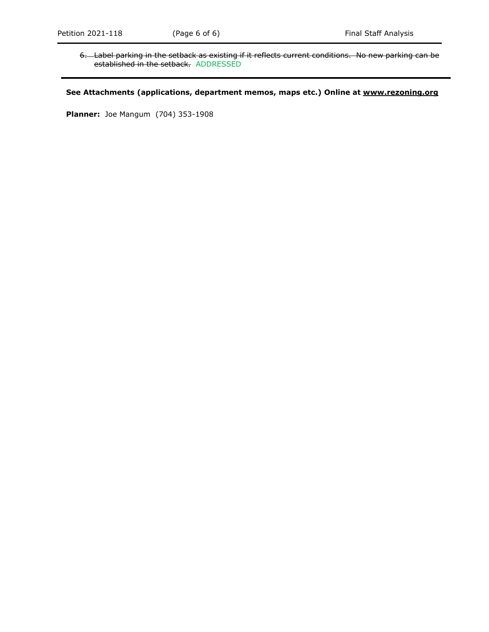6. Label parking in the setback as existing if it reflects current conditions. No new parking can be established in the setback. ADDRESSED

# **See Attachments (applications, department memos, maps etc.) Online at www.rezoning.org**

**Planner:** Joe Mangum (704) 353-1908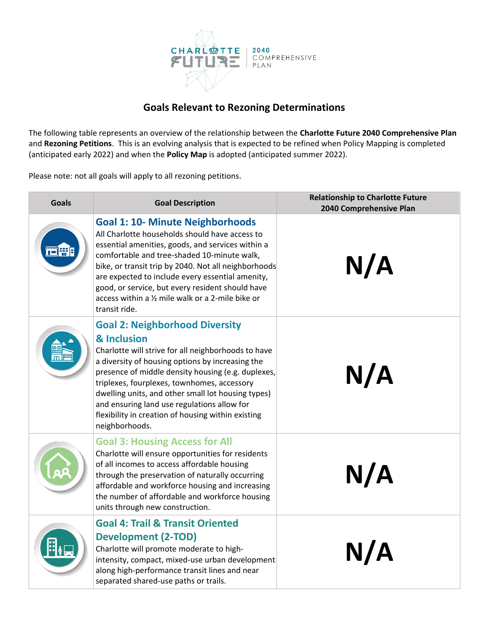

# **Goals Relevant to Rezoning Determinations**

The following table represents an overview of the relationship between the **Charlotte Future 2040 Comprehensive Plan** and **Rezoning Petitions**. This is an evolving analysis that is expected to be refined when Policy Mapping is completed (anticipated early 2022) and when the **Policy Map** is adopted (anticipated summer 2022).

Please note: not all goals will apply to all rezoning petitions.

| <b>Goals</b> | <b>Goal Description</b>                                                                                                                                                                                                                                                                                                                                                                                                                           | <b>Relationship to Charlotte Future</b><br>2040 Comprehensive Plan |
|--------------|---------------------------------------------------------------------------------------------------------------------------------------------------------------------------------------------------------------------------------------------------------------------------------------------------------------------------------------------------------------------------------------------------------------------------------------------------|--------------------------------------------------------------------|
| <b>THE</b>   | <b>Goal 1: 10- Minute Neighborhoods</b><br>All Charlotte households should have access to<br>essential amenities, goods, and services within a<br>comfortable and tree-shaded 10-minute walk,<br>bike, or transit trip by 2040. Not all neighborhoods<br>are expected to include every essential amenity,<br>good, or service, but every resident should have<br>access within a 1/2 mile walk or a 2-mile bike or<br>transit ride.               | N/A                                                                |
|              | <b>Goal 2: Neighborhood Diversity</b><br>& Inclusion<br>Charlotte will strive for all neighborhoods to have<br>a diversity of housing options by increasing the<br>presence of middle density housing (e.g. duplexes,<br>triplexes, fourplexes, townhomes, accessory<br>dwelling units, and other small lot housing types)<br>and ensuring land use regulations allow for<br>flexibility in creation of housing within existing<br>neighborhoods. | N/A                                                                |
|              | <b>Goal 3: Housing Access for All</b><br>Charlotte will ensure opportunities for residents<br>of all incomes to access affordable housing<br>through the preservation of naturally occurring<br>affordable and workforce housing and increasing<br>the number of affordable and workforce housing<br>units through new construction.                                                                                                              | N/A                                                                |
|              | <b>Goal 4: Trail &amp; Transit Oriented</b><br><b>Development (2-TOD)</b><br>Charlotte will promote moderate to high-<br>intensity, compact, mixed-use urban development<br>along high-performance transit lines and near<br>separated shared-use paths or trails.                                                                                                                                                                                | N/A                                                                |